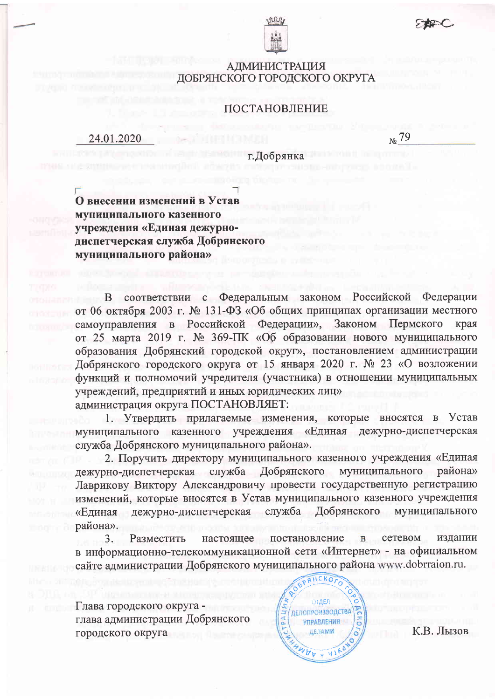

## **АДМИНИСТРАЦИЯ** ДОБРЯНСКОГО ГОРОДСКОГО ОКРУГА

### ПОСТАНОВЛЕНИЕ

24.01.2020

 $\frac{1}{N^2}$  79

г. Добрянка

О внесении изменений в Устав муниципального казенного учреждения «Единая дежурнодиспетчерская служба Добрянского муниципального района»

соответствии с Федеральным законом Российской Федерации B. от 06 октября 2003 г. № 131-ФЗ «Об общих принципах организации местного самоуправления в Российской Федерации», Законом Пермского края от 25 марта 2019 г. № 369-ПК «Об образовании нового муниципального образования Добрянский городской округ», постановлением администрации Добрянского городского округа от 15 января 2020 г. № 23 «О возложении функций и полномочий учредителя (участника) в отношении муниципальных учреждений, предприятий и иных юридических лиц» администрация округа ПОСТАНОВЛЯЕТ:

1. Утвердить прилагаемые изменения, которые вносятся в Устав муниципального казенного учреждения «Единая дежурно-диспетчерская служба Добрянского муниципального района».

2. Поручить директору муниципального казенного учреждения «Единая дежурно-диспетчерская служба Добрянского муниципального района» Лаврикову Виктору Александровичу провести государственную регистрацию изменений, которые вносятся в Устав муниципального казенного учреждения «Единая дежурно-диспетчерская служба Добрянского муниципального района».

3. Разместить настояшее постановление сетевом издании в информационно-телекоммуникационной сети «Интернет» - на официальном сайте администрации Добрянского муниципального района www.dobrraion.ru.

Глава городского округа глава администрации Добрянского городского округа



К.В. Лызов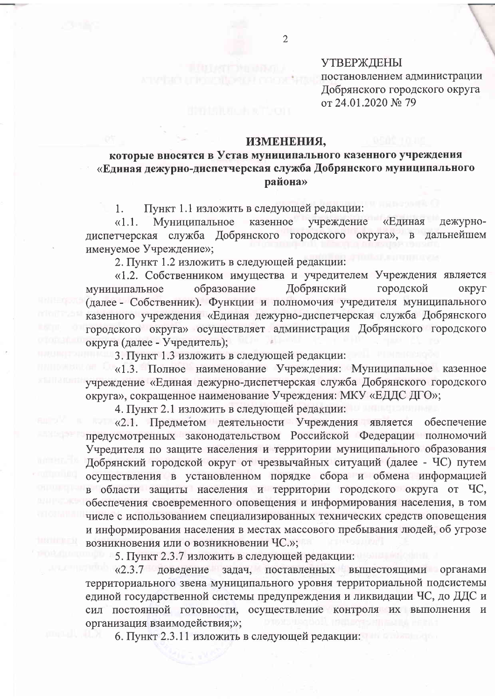## **УТВЕРЖДЕНЫ**

постановлением администрации Добрянского городского округа от 24.01.2020 № 79

#### ИЗМЕНЕНИЯ,

# которые вносятся в Устав муниципального казенного учреждения «Единая дежурно-диспетчерская служба Добрянского муниципального района»

Пункт 1.1 изложить в следующей редакции: 1.

Муниципальное казенное  $\langle 1.1.$ учреждение «Единая дежурнодиспетчерская служба Добрянского городского округа», дальнейшем  $\mathbf{B}$ именуемое Учреждение»;

2. Пункт 1.2 изложить в следующей редакции:

«1.2. Собственником имущества и учредителем Учреждения является Добрянский городской образование муниципальное округ (далее - Собственник). Функции и полномочия учредителя муниципального казенного учреждения «Единая дежурно-диспетчерская служба Добрянского городского округа» осуществляет администрация Добрянского городского округа (далее - Учредитель);

3. Пункт 1.3 изложить в следующей редакции:

«1.3. Полное наименование Учреждения: Муниципальное казенное учреждение «Единая дежурно-диспетчерская служба Добрянского городского округа», сокращенное наименование Учреждения: МКУ «ЕДДС ДГО»;

4. Пункт 2.1 изложить в следующей редакции:

«2.1. Предметом деятельности Учреждения является обеспечение предусмотренных законодательством Российской Федерации полномочий Учредителя по защите населения и территории муниципального образования Добрянский городской округ от чрезвычайных ситуаций (далее - ЧС) путем осуществления в установленном порядке сбора и обмена информацией в области защиты населения и территории городского округа от ЧС, обеспечения своевременного оповещения и информирования населения, в том числе с использованием специализированных технических средств оповещения и информирования населения в местах массового пребывания людей, об угрозе возникновения или о возникновении ЧС.»;

5. Пункт 2.3.7 изложить в следующей редакции:

«2.3.7 доведение задач, поставленных вышестоящими органами территориального звена муниципального уровня территориальной подсистемы единой государственной системы предупреждения и ликвидации ЧС, до ДДС и сил постоянной готовности, осуществление контроля их выполнения и организация взаимодействия;»;

6. Пункт 2.3.11 изложить в следующей редакции: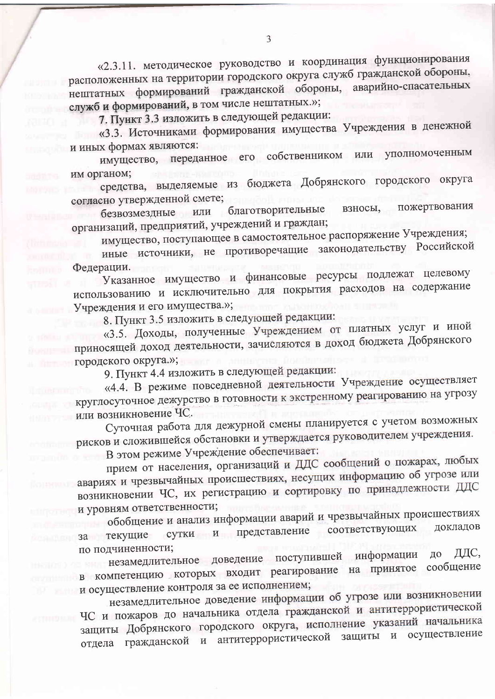«2.3.11. методическое руководство и координация функционирования расположенных на территории городского округа служб гражданской обороны, нештатных формирований гражданской обороны, аварийно-спасательных служб и формирований, в том числе нештатных.»;

7. Пункт 3.3 изложить в следующей редакции:

«3.3. Источниками формирования имущества Учреждения в денежной и иных формах являются:

имущество, переданное его собственником или уполномоченным им органом;

средства, выделяемые из бюджета Добрянского городского округа согласно утвержденной смете;

пожертвования благотворительные взносы, безвозмездные или организаций, предприятий, учреждений и граждан;

имущество, поступающее в самостоятельное распоряжение Учреждения;

иные источники, не противоречащие законодательству Российской Федерации.

Указанное имущество и финансовые ресурсы подлежат целевому использованию и исключительно для покрытия расходов на содержание Учреждения и его имущества.»;

8. Пункт 3.5 изложить в следующей редакции:

«3.5. Доходы, полученные Учреждением от платных услуг и иной приносящей доход деятельности, зачисляются в доход бюджета Добрянского городского округа.»;

9. Пункт 4.4 изложить в следующей редакции:

«4.4. В режиме повседневной деятельности Учреждение осуществляет круглосуточное дежурство в готовности к экстренному реагированию на угрозу или возникновение ЧС.

Суточная работа для дежурной смены планируется с учетом возможных рисков и сложившейся обстановки и утверждается руководителем учреждения. В этом режиме Учреждение обеспечивает:

прием от населения, организаций и ДДС сообщений о пожарах, любых авариях и чрезвычайных происшествиях, несущих информацию об угрозе или возникновении ЧС, их регистрацию и сортировку по принадлежности ДДС и уровням ответственности;

обобщение и анализ информации аварий и чрезвычайных происшествиях сутки и представление соответствующих докладов за текущие по подчиненности;

незамедлительное доведение поступившей информации ДДС, до в компетенцию которых входит реагирование на принятое сообщение и осуществление контроля за ее исполнением;

незамедлительное доведение информации об угрозе или возникновении ЧС и пожаров до начальника отдела гражданской и антитеррористической защиты Добрянского городского округа, исполнение указаний начальника отдела гражданской и антитеррористической защиты и осуществление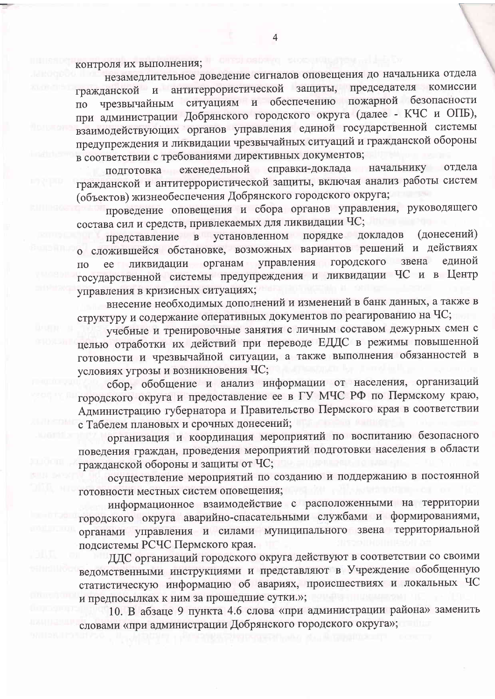контроля их выполнения;

незамедлительное доведение сигналов оповещения до начальника отдела антитеррористической защиты, председателя комиссии гражданской  $\mathbf{H}$ ситуациям и обеспечению пожарной безопасности чрезвычайным  $\overline{10}$ при администрации Добрянского городского округа (далее - КЧС и ОПБ), взаимодействующих органов управления единой государственной системы предупреждения и ликвидации чрезвычайных ситуаций и гражданской обороны в соответствии с требованиями директивных документов;

подготовка еженедельной справки-доклада начальнику отдела гражданской и антитеррористической защиты, включая анализ работы систем (объектов) жизнеобеспечения Добрянского городского округа;

проведение оповещения и сбора органов управления, руководящего состава сил и средств, привлекаемых для ликвидации ЧС;

представление в установленном порядке докладов (донесений) о сложившейся обстановке, возможных вариантов решений и действиях управления городского звена единой ликвидации органам  $\Pi$ <sup>O</sup> ee государственной системы предупреждения и ликвидации ЧС и в Центр управления в кризисных ситуациях;

внесение необходимых дополнений и изменений в банк данных, а также в структуру и содержание оперативных документов по реагированию на ЧС;

учебные и тренировочные занятия с личным составом дежурных смен с целью отработки их действий при переводе ЕДДС в режимы повышенной готовности и чрезвычайной ситуации, а также выполнения обязанностей в условиях угрозы и возникновения ЧС;

сбор, обобщение и анализ информации от населения, организаций городского округа и предоставление ее в ГУ МЧС РФ по Пермскому краю, Администрацию губернатора и Правительство Пермского края в соответствии с Табелем плановых и срочных донесений;

организация и координация мероприятий по воспитанию безопасного поведения граждан, проведения мероприятий подготовки населения в области гражданской обороны и защиты от ЧС;

осуществление мероприятий по созданию и поддержанию в постоянной готовности местных систем оповещения;

информационное взаимодействие с расположенными на территории городского округа аварийно-спасательными службами и формированиями, органами управления и силами муниципального звена территориальной подсистемы РСЧС Пермского края.

ДДС организаций городского округа действуют в соответствии со своими ведомственными инструкциями и представляют в Учреждение обобщенную статистическую информацию об авариях, происшествиях и локальных ЧС и предпосылках к ним за прошедшие сутки.»;

10. В абзаце 9 пункта 4.6 слова «при администрации района» заменить словами «при администрации Добрянского городского округа»;